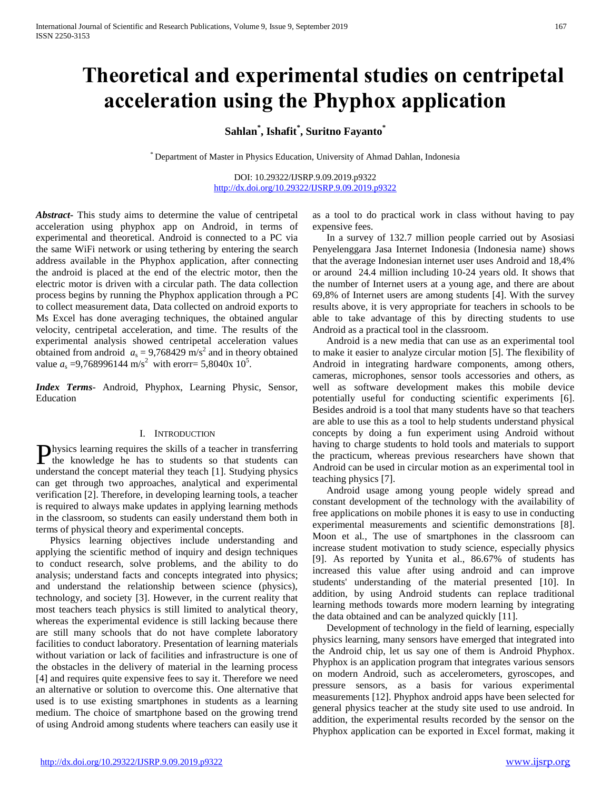# **Theoretical and experimental studies on centripetal acceleration using the Phyphox application**

# **Sahlan\* , Ishafit\* , Suritno Fayanto\***

\* Department of Master in Physics Education, University of Ahmad Dahlan, Indonesia

DOI: 10.29322/IJSRP.9.09.2019.p9322 <http://dx.doi.org/10.29322/IJSRP.9.09.2019.p9322>

*Abstract***-** This study aims to determine the value of centripetal acceleration using phyphox app on Android, in terms of experimental and theoretical. Android is connected to a PC via the same WiFi network or using tethering by entering the search address available in the Phyphox application, after connecting the android is placed at the end of the electric motor, then the electric motor is driven with a circular path. The data collection process begins by running the Phyphox application through a PC to collect measurement data, Data collected on android exports to Ms Excel has done averaging techniques, the obtained angular velocity, centripetal acceleration, and time. The results of the experimental analysis showed centripetal acceleration values obtained from android  $a_s = 9,768429 \text{ m/s}^2$  and in theory obtained value  $a_s = 9,768996144 \text{ m/s}^2$  with erorr= 5,8040x 10<sup>5</sup>.

*Index Terms*- Android, Phyphox, Learning Physic, Sensor, Education

## I. INTRODUCTION

hysics learning requires the skills of a teacher in transferring Physics learning requires the skills of a teacher in transferring<br>the knowledge he has to students so that students can understand the concept material they teach [1]. Studying physics can get through two approaches, analytical and experimental verification [2]. Therefore, in developing learning tools, a teacher is required to always make updates in applying learning methods in the classroom, so students can easily understand them both in terms of physical theory and experimental concepts.

Physics learning objectives include understanding and applying the scientific method of inquiry and design techniques to conduct research, solve problems, and the ability to do analysis; understand facts and concepts integrated into physics; and understand the relationship between science (physics), technology, and society [3]. However, in the current reality that most teachers teach physics is still limited to analytical theory, whereas the experimental evidence is still lacking because there are still many schools that do not have complete laboratory facilities to conduct laboratory. Presentation of learning materials without variation or lack of facilities and infrastructure is one of the obstacles in the delivery of material in the learning process [4] and requires quite expensive fees to say it. Therefore we need an alternative or solution to overcome this. One alternative that used is to use existing smartphones in students as a learning medium. The choice of smartphone based on the growing trend of using Android among students where teachers can easily use it

as a tool to do practical work in class without having to pay expensive fees.

In a survey of 132.7 million people carried out by Asosiasi Penyelenggara Jasa Internet Indonesia (Indonesia name) shows that the average Indonesian internet user uses Android and 18,4% or around 24.4 million including 10-24 years old. It shows that the number of Internet users at a young age, and there are about 69,8% of Internet users are among students [4]. With the survey results above, it is very appropriate for teachers in schools to be able to take advantage of this by directing students to use Android as a practical tool in the classroom.

Android is a new media that can use as an experimental tool to make it easier to analyze circular motion [5]. The flexibility of Android in integrating hardware components, among others, cameras, microphones, sensor tools accessories and others, as well as software development makes this mobile device potentially useful for conducting scientific experiments [6]. Besides android is a tool that many students have so that teachers are able to use this as a tool to help students understand physical concepts by doing a fun experiment using Android without having to charge students to hold tools and materials to support the practicum, whereas previous researchers have shown that Android can be used in circular motion as an experimental tool in teaching physics [7].

Android usage among young people widely spread and constant development of the technology with the availability of free applications on mobile phones it is easy to use in conducting experimental measurements and scientific demonstrations [8]. Moon et al*.,* The use of smartphones in the classroom can increase student motivation to study science, especially physics [9]. As reported by Yunita et al., 86.67% of students has increased this value after using android and can improve students' understanding of the material presented [10]. In addition, by using Android students can replace traditional learning methods towards more modern learning by integrating the data obtained and can be analyzed quickly [11].

Development of technology in the field of learning, especially physics learning, many sensors have emerged that integrated into the Android chip, let us say one of them is Android Phyphox. Phyphox is an application program that integrates various sensors on modern Android, such as accelerometers, gyroscopes, and pressure sensors, as a basis for various experimental measurements [12]. Phyphox android apps have been selected for general physics teacher at the study site used to use android. In addition, the experimental results recorded by the sensor on the Phyphox application can be exported in Excel format, making it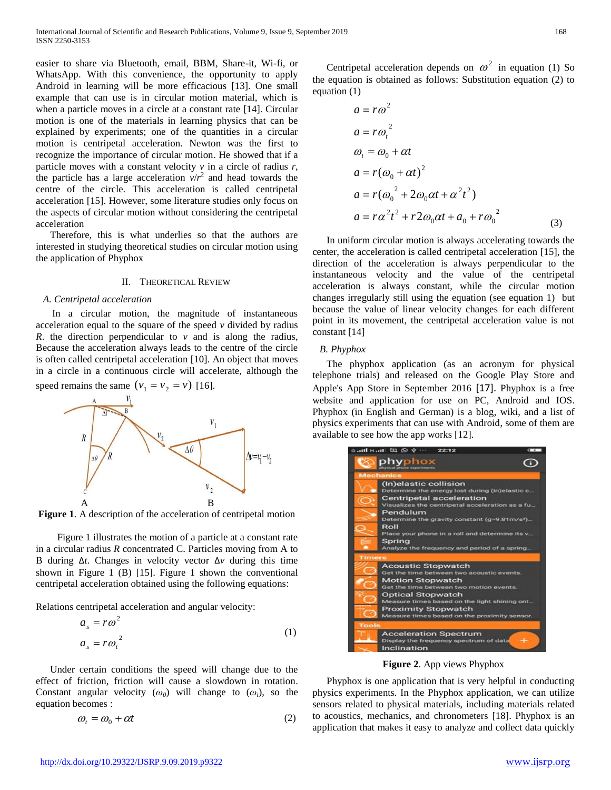easier to share via Bluetooth, email, BBM, Share-it, Wi-fi, or WhatsApp. With this convenience, the opportunity to apply Android in learning will be more efficacious [13]. One small example that can use is in circular motion material, which is when a particle moves in a circle at a constant rate [14]. Circular motion is one of the materials in learning physics that can be explained by experiments; one of the quantities in a circular motion is centripetal acceleration. Newton was the first to recognize the importance of circular motion. He showed that if a particle moves with a constant velocity *v* in a circle of radius *r*, the particle has a large acceleration  $v/r^2$  and head towards the centre of the circle. This acceleration is called centripetal acceleration [15]. However, some literature studies only focus on the aspects of circular motion without considering the centripetal acceleration

Therefore, this is what underlies so that the authors are interested in studying theoretical studies on circular motion using the application of Phyphox

### II. THEORETICAL REVIEW

### *A. Centripetal acceleration*

 In a circular motion, the magnitude of instantaneous acceleration equal to the square of the speed *v* divided by radius *R*. the direction perpendicular to *v* and is along the radius, Because the acceleration always leads to the centre of the circle is often called centripetal acceleration [10]. An object that moves in a circle in a continuous circle will accelerate, although the

speed remains the same  $(v_1 = v_2 = v)$  [16].



**Figure 1**. A description of the acceleration of centripetal motion

Figure 1 illustrates the motion of a particle at a constant rate in a circular radius *R* concentrated C. Particles moving from A to B during ∆*t*. Changes in velocity vector ∆*v* during this time shown in Figure 1 (B) [15]. Figure 1 shown the conventional centripetal acceleration obtained using the following equations:

Relations centripetal acceleration and angular velocity:

$$
a_s = r\omega^2
$$
  
\n
$$
a_s = r\omega_t^2
$$
\n(1)

Under certain conditions the speed will change due to the effect of friction, friction will cause a slowdown in rotation. Constant angular velocity  $(\omega_0)$  will change to  $(\omega_t)$ , so the equation becomes :

$$
\omega_t = \omega_0 + \alpha t \tag{2}
$$

Centripetal acceleration depends on  $\omega^2$  in equation (1) So the equation is obtained as follows: Substitution equation (2) to equation (1)

$$
a = r\omega^2
$$
  
\n
$$
a = r\omega_t^2
$$
  
\n
$$
\omega_t = \omega_0 + \alpha t
$$
  
\n
$$
a = r(\omega_0 + \alpha t)^2
$$
  
\n
$$
a = r(\omega_0^2 + 2\omega_0 \alpha t + \alpha^2 t^2)
$$
  
\n
$$
a = r\alpha^2 t^2 + r2\omega_0 \alpha t + a_0 + r\omega_0^2
$$
\n(3)

In uniform circular motion is always accelerating towards the center, the acceleration is called centripetal acceleration [15], the direction of the acceleration is always perpendicular to the instantaneous velocity and the value of the centripetal acceleration is always constant, while the circular motion changes irregularly still using the equation (see equation 1) but because the value of linear velocity changes for each different point in its movement, the centripetal acceleration value is not constant [14]

### *B. Phyphox*

The phyphox application (as an acronym for physical telephone trials) and released on the Google Play Store and Apple's App Store in September 2016 [17]. Phyphox is a free website and application for use on PC, Android and IOS. Phyphox (in English and German) is a blog, wiki, and a list of physics experiments that can use with Android, some of them are available to see how the app works [12].



**Figure 2**. App views Phyphox

Phyphox is one application that is very helpful in conducting physics experiments. In the Phyphox application, we can utilize sensors related to physical materials, including materials related to acoustics, mechanics, and chronometers [18]. Phyphox is an application that makes it easy to analyze and collect data quickly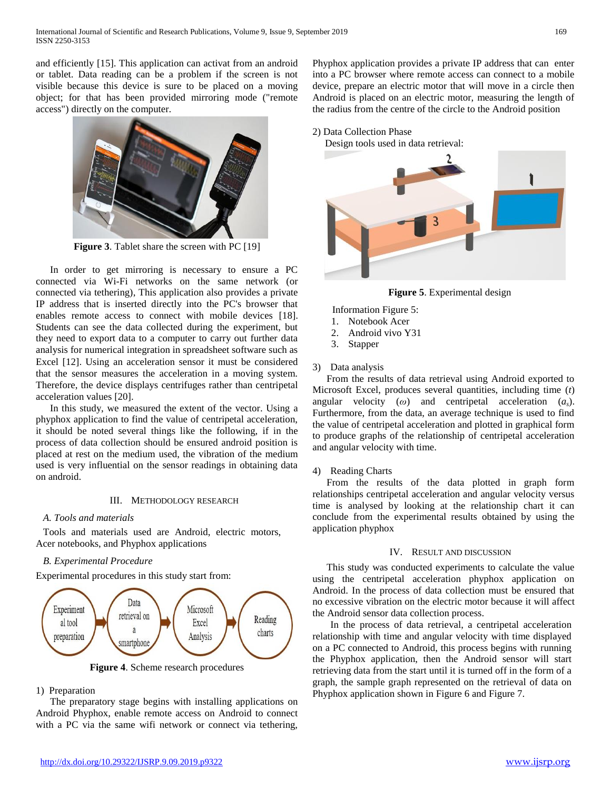and efficiently [15]. This application can activat from an android or tablet. Data reading can be a problem if the screen is not visible because this device is sure to be placed on a moving object; for that has been provided mirroring mode ("remote access") directly on the computer.



**Figure 3**. Tablet share the screen with PC [19]

In order to get mirroring is necessary to ensure a PC connected via Wi-Fi networks on the same network (or connected via tethering), This application also provides a private IP address that is inserted directly into the PC's browser that enables remote access to connect with mobile devices [18]. Students can see the data collected during the experiment, but they need to export data to a computer to carry out further data analysis for numerical integration in spreadsheet software such as Excel [12]. Using an acceleration sensor it must be considered that the sensor measures the acceleration in a moving system. Therefore, the device displays centrifuges rather than centripetal acceleration values [20].

In this study, we measured the extent of the vector. Using a phyphox application to find the value of centripetal acceleration, it should be noted several things like the following, if in the process of data collection should be ensured android position is placed at rest on the medium used, the vibration of the medium used is very influential on the sensor readings in obtaining data on android.

# III. METHODOLOGY RESEARCH

# *A. Tools and materials*

Tools and materials used are Android, electric motors, Acer notebooks, and Phyphox applications

# *B. Experimental Procedure*

Experimental procedures in this study start from:



**Figure 4**. Scheme research procedures

# 1) Preparation

The preparatory stage begins with installing applications on Android Phyphox, enable remote access on Android to connect with a PC via the same wifi network or connect via tethering, Phyphox application provides a private IP address that can enter into a PC browser where remote access can connect to a mobile device, prepare an electric motor that will move in a circle then Android is placed on an electric motor, measuring the length of the radius from the centre of the circle to the Android position

# 2) Data Collection Phase Design tools used in data retrieval: 3

# **Figure 5**. Experimental design

- Information Figure 5:
- 1. Notebook Acer
- 2. Android vivo Y31
- 3. Stapper

# 3) Data analysis

From the results of data retrieval using Android exported to Microsoft Excel, produces several quantities, including time (*t*) angular velocity (*ω*) and centripetal acceleration (*as*). Furthermore, from the data, an average technique is used to find the value of centripetal acceleration and plotted in graphical form to produce graphs of the relationship of centripetal acceleration and angular velocity with time.

### 4) Reading Charts

From the results of the data plotted in graph form relationships centripetal acceleration and angular velocity versus time is analysed by looking at the relationship chart it can conclude from the experimental results obtained by using the application phyphox

# IV. RESULT AND DISCUSSION

This study was conducted experiments to calculate the value using the centripetal acceleration phyphox application on Android. In the process of data collection must be ensured that no excessive vibration on the electric motor because it will affect the Android sensor data collection process.

In the process of data retrieval, a centripetal acceleration relationship with time and angular velocity with time displayed on a PC connected to Android, this process begins with running the Phyphox application, then the Android sensor will start retrieving data from the start until it is turned off in the form of a graph, the sample graph represented on the retrieval of data on Phyphox application shown in Figure 6 and Figure 7.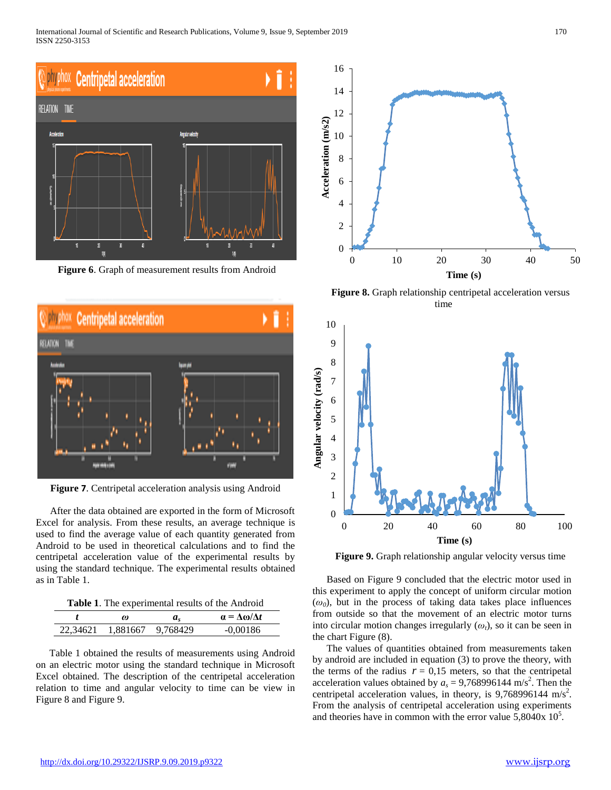International Journal of Scientific and Research Publications, Volume 9, Issue 9, September 2019 170 ISSN 2250-3153



**Figure 6**. Graph of measurement results from Android



**Figure 7**. Centripetal acceleration analysis using Android

After the data obtained are exported in the form of Microsoft Excel for analysis. From these results, an average technique is used to find the average value of each quantity generated from Android to be used in theoretical calculations and to find the centripetal acceleration value of the experimental results by using the standard technique. The experimental results obtained as in Table 1.

**Table 1**. The experimental results of the Android

|          | $\omega$          | a. | $\alpha = \Delta \omega / \Delta t$ |
|----------|-------------------|----|-------------------------------------|
| 22,34621 | 1,881667 9,768429 |    | $-0.00186$                          |

Table 1 obtained the results of measurements using Android on an electric motor using the standard technique in Microsoft Excel obtained. The description of the centripetal acceleration relation to time and angular velocity to time can be view in Figure 8 and Figure 9.



Figure 8. Graph relationship centripetal acceleration versus time



**Figure 9.** Graph relationship angular velocity versus time

Based on Figure 9 concluded that the electric motor used in this experiment to apply the concept of uniform circular motion  $(\omega_0)$ , but in the process of taking data takes place influences from outside so that the movement of an electric motor turns into circular motion changes irregularly  $(\omega_t)$ , so it can be seen in the chart Figure (8).

The values of quantities obtained from measurements taken by android are included in equation (3) to prove the theory, with the terms of the radius  $r = 0.15$  meters, so that the centripetal acceleration values obtained by  $a_s = 9,768996144 \text{ m/s}^2$ . Then the centripetal acceleration values, in theory, is  $9,768996144$  m/s<sup>2</sup>. From the analysis of centripetal acceleration using experiments and theories have in common with the error value  $5,8040x$   $10<sup>5</sup>$ .